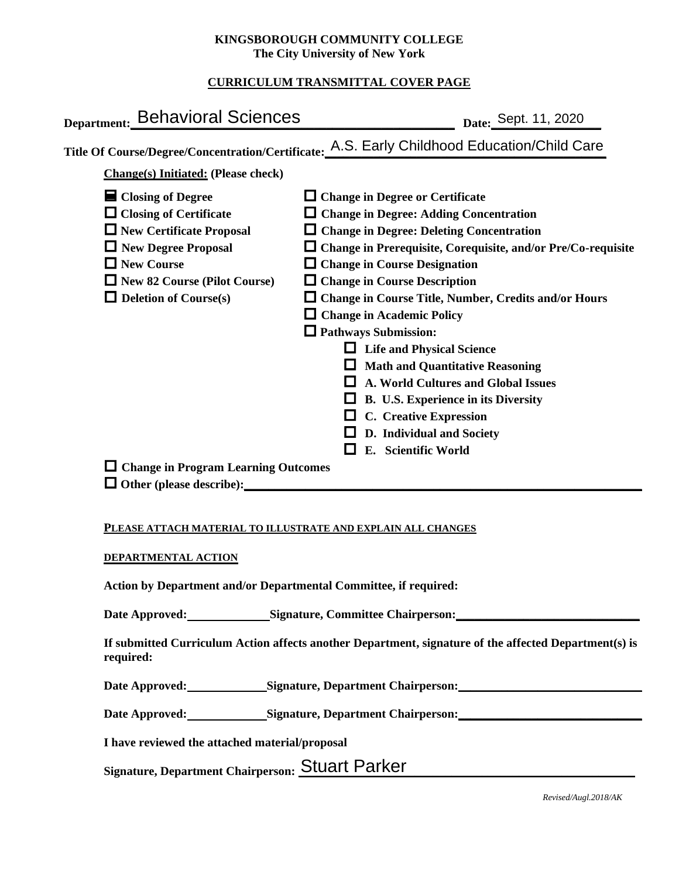### **KINGSBOROUGH COMMUNITY COLLEGE The City University of New York**

## **CURRICULUM TRANSMITTAL COVER PAGE**

| Department: Behavioral Sciences                                                                      | Date: Sept. 11, 2020                                                                                                                                                                                                                                                                                        |
|------------------------------------------------------------------------------------------------------|-------------------------------------------------------------------------------------------------------------------------------------------------------------------------------------------------------------------------------------------------------------------------------------------------------------|
|                                                                                                      | Title Of Course/Degree/Concentration/Certificate: A.S. Early Childhood Education/Child Care                                                                                                                                                                                                                 |
| <b>Change(s)</b> Initiated: (Please check)                                                           |                                                                                                                                                                                                                                                                                                             |
| $\blacksquare$ Closing of Degree<br>$\Box$ Closing of Certificate<br>$\Box$ New Certificate Proposal | $\Box$ Change in Degree or Certificate<br>$\Box$ Change in Degree: Adding Concentration<br>$\Box$ Change in Degree: Deleting Concentration                                                                                                                                                                  |
| New Degree Proposal<br>$\Box$ New Course                                                             | $\Box$ Change in Prerequisite, Corequisite, and/or Pre/Co-requisite<br>$\Box$ Change in Course Designation                                                                                                                                                                                                  |
| New 82 Course (Pilot Course)<br>$\Box$ Deletion of Course(s)                                         | $\Box$ Change in Course Description<br>□ Change in Course Title, Number, Credits and/or Hours<br>□ Change in Academic Policy                                                                                                                                                                                |
|                                                                                                      | $\Box$ Pathways Submission:<br>$\Box$ Life and Physical Science<br>$\Box$ Math and Quantitative Reasoning<br>$\Box$ A. World Cultures and Global Issues<br>$\Box$ B. U.S. Experience in its Diversity<br>$\Box$ C. Creative Expression<br>$\Box$ D. Individual and Society<br>E. Scientific World<br>$\Box$ |
| $\Box$ Change in Program Learning Outcomes                                                           |                                                                                                                                                                                                                                                                                                             |
| PLEASE ATTACH MATERIAL TO ILLUSTRATE AND EXPLAIN ALL CHANGES<br>DEPARTMENTAL ACTION                  |                                                                                                                                                                                                                                                                                                             |
| Action by Department and/or Departmental Committee, if required:<br>Date Annroved.                   | Signature Committee Chairperson.                                                                                                                                                                                                                                                                            |

#### **PLEASE ATTACH MATERIAL TO ILLUSTRATE AND EXPLAIN ALL CHANGES**

#### **DEPARTMENTAL ACTION**

Date Approved: Signature, Committee Chairperson:

**If submitted Curriculum Action affects another Department, signature of the affected Department(s) is required:**

Date Approved: Signature, Department Chairperson: <u>New York: New York: New York: New York: New York: New York: New York: New York: New York: New York: New York: New York: New York: New York: New York: New York: New York: N</u>

Date Approved: Signature, Department Chairperson: <u>\_\_\_\_\_\_\_\_\_\_\_\_\_\_\_\_\_\_\_\_\_\_\_\_\_\_\_\_\_\_</u>

**I have reviewed the attached material/proposal**

Signature, Department Chairperson: Stuart Parker

*Revised/Augl.2018/AK*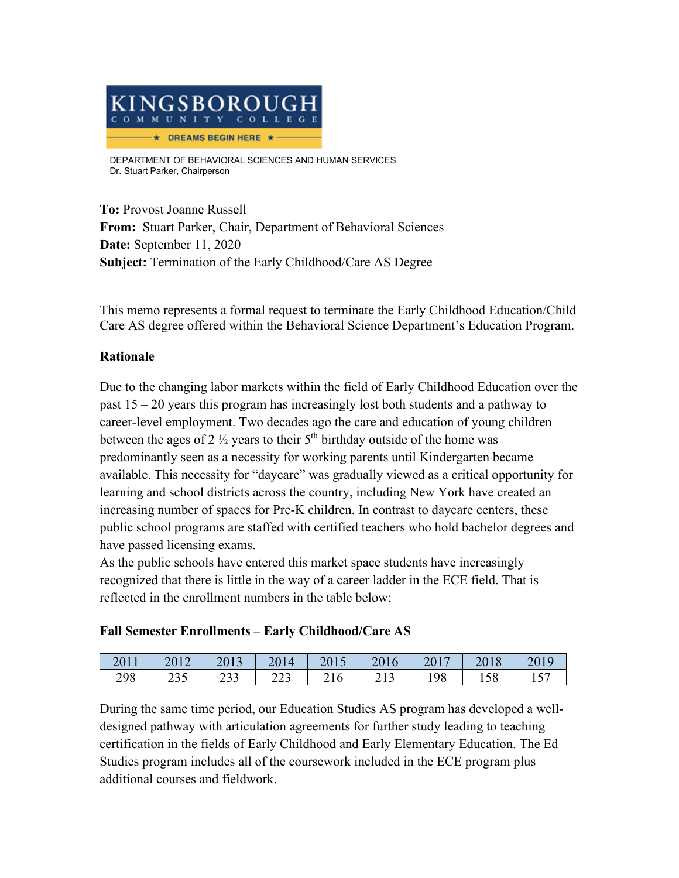

DEPARTMENT OF BEHAVIORAL SCIENCES AND HUMAN SERVICES Dr. Stuart Parker, Chairperson

**To:** Provost Joanne Russell **From:** Stuart Parker, Chair, Department of Behavioral Sciences **Date:** September 11, 2020 **Subject:** Termination of the Early Childhood/Care AS Degree

This memo represents a formal request to terminate the Early Childhood Education/Child Care AS degree offered within the Behavioral Science Department's Education Program.

# **Rationale**

Due to the changing labor markets within the field of Early Childhood Education over the past 15 – 20 years this program has increasingly lost both students and a pathway to career-level employment. Two decades ago the care and education of young children between the ages of 2  $\frac{1}{2}$  years to their 5<sup>th</sup> birthday outside of the home was predominantly seen as a necessity for working parents until Kindergarten became available. This necessity for "daycare" was gradually viewed as a critical opportunity for learning and school districts across the country, including New York have created an increasing number of spaces for Pre-K children. In contrast to daycare centers, these public school programs are staffed with certified teachers who hold bachelor degrees and have passed licensing exams.

As the public schools have entered this market space students have increasingly recognized that there is little in the way of a career ladder in the ECE field. That is reflected in the enrollment numbers in the table below;

## **Fall Semester Enrollments – Early Childhood/Care AS**

| 2011 | 2012  | 2013         | 2014 | 2015 | 2016 | 2017 | 2018 | 2019             |
|------|-------|--------------|------|------|------|------|------|------------------|
| 298  | ر ر 2 | ววว<br>ر ر ∠ | 223  | 216  | 213  | 198  | 158  | . 57<br>$1 \cup$ |

During the same time period, our Education Studies AS program has developed a welldesigned pathway with articulation agreements for further study leading to teaching certification in the fields of Early Childhood and Early Elementary Education. The Ed Studies program includes all of the coursework included in the ECE program plus additional courses and fieldwork.